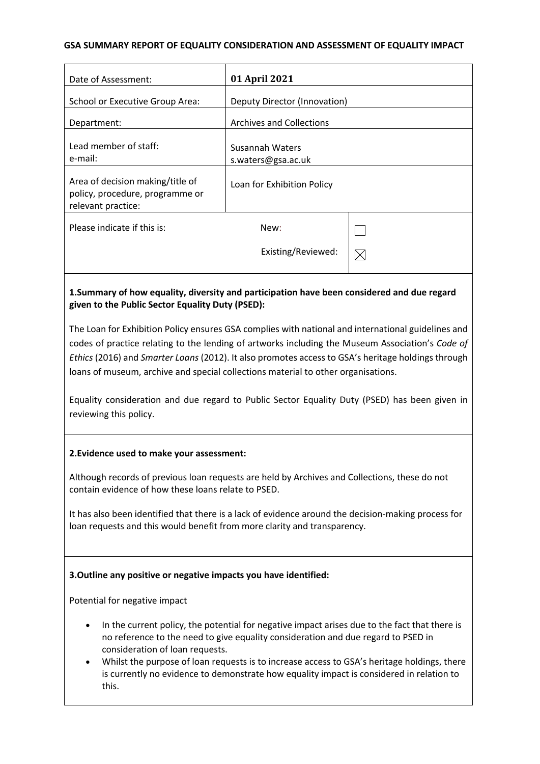#### **GSA SUMMARY REPORT OF EQUALITY CONSIDERATION AND ASSESSMENT OF EQUALITY IMPACT**

| Date of Assessment:                                                                       | 01 April 2021                         |             |
|-------------------------------------------------------------------------------------------|---------------------------------------|-------------|
| School or Executive Group Area:                                                           | Deputy Director (Innovation)          |             |
| Department:                                                                               | <b>Archives and Collections</b>       |             |
| Lead member of staff:<br>e-mail:                                                          | Susannah Waters<br>s.waters@gsa.ac.uk |             |
| Area of decision making/title of<br>policy, procedure, programme or<br>relevant practice: | Loan for Exhibition Policy            |             |
| Please indicate if this is:                                                               | New:<br>Existing/Reviewed:            | $\boxtimes$ |
|                                                                                           |                                       |             |

# **1.Summary of how equality, diversity and participation have been considered and due regard given to the Public Sector Equality Duty (PSED):**

The Loan for Exhibition Policy ensures GSA complies with national and international guidelines and codes of practice relating to the lending of artworks including the Museum Association's *Code of Ethics* (2016) and *Smarter Loans* (2012). It also promotes access to GSA's heritage holdings through loans of museum, archive and special collections material to other organisations.

Equality consideration and due regard to Public Sector Equality Duty (PSED) has been given in reviewing this policy.

### **2.Evidence used to make your assessment:**

Although records of previous loan requests are held by Archives and Collections, these do not contain evidence of how these loans relate to PSED.

It has also been identified that there is a lack of evidence around the decision-making process for loan requests and this would benefit from more clarity and transparency.

# **3.Outline any positive or negative impacts you have identified:**

Potential for negative impact

- In the current policy, the potential for negative impact arises due to the fact that there is no reference to the need to give equality consideration and due regard to PSED in consideration of loan requests.
- Whilst the purpose of loan requests is to increase access to GSA's heritage holdings, there is currently no evidence to demonstrate how equality impact is considered in relation to this.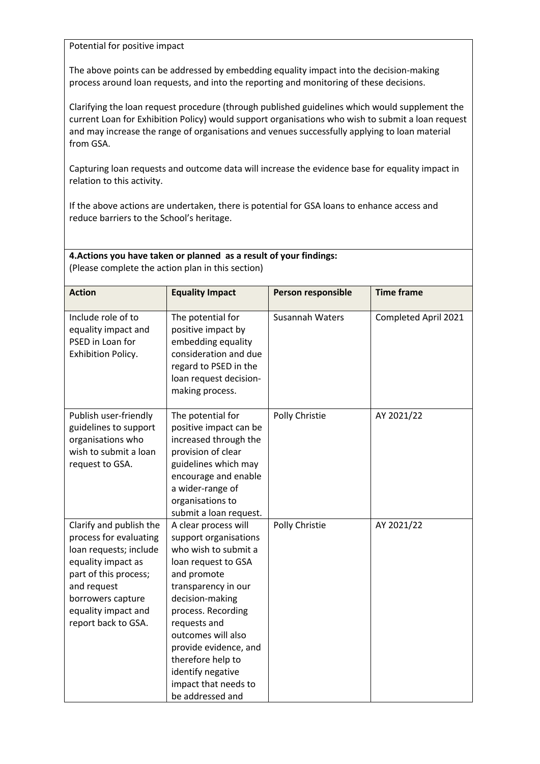Potential for positive impact

The above points can be addressed by embedding equality impact into the decision-making process around loan requests, and into the reporting and monitoring of these decisions.

Clarifying the loan request procedure (through published guidelines which would supplement the current Loan for Exhibition Policy) would support organisations who wish to submit a loan request and may increase the range of organisations and venues successfully applying to loan material from GSA.

Capturing loan requests and outcome data will increase the evidence base for equality impact in relation to this activity.

If the above actions are undertaken, there is potential for GSA loans to enhance access and reduce barriers to the School's heritage.

**4.Actions you have taken or planned as a result of your findings:** (Please complete the action plan in this section)

| <b>Action</b>                                                                                                                                                                                                | <b>Equality Impact</b>                                                                                                                                                                                                                                                                                                           | Person responsible | <b>Time frame</b>    |
|--------------------------------------------------------------------------------------------------------------------------------------------------------------------------------------------------------------|----------------------------------------------------------------------------------------------------------------------------------------------------------------------------------------------------------------------------------------------------------------------------------------------------------------------------------|--------------------|----------------------|
| Include role of to<br>equality impact and<br>PSED in Loan for<br>Exhibition Policy.                                                                                                                          | The potential for<br>positive impact by<br>embedding equality<br>consideration and due<br>regard to PSED in the<br>loan request decision-<br>making process.                                                                                                                                                                     | Susannah Waters    | Completed April 2021 |
| Publish user-friendly<br>guidelines to support<br>organisations who<br>wish to submit a loan<br>request to GSA.                                                                                              | The potential for<br>positive impact can be<br>increased through the<br>provision of clear<br>guidelines which may<br>encourage and enable<br>a wider-range of<br>organisations to<br>submit a loan request.                                                                                                                     | Polly Christie     | AY 2021/22           |
| Clarify and publish the<br>process for evaluating<br>loan requests; include<br>equality impact as<br>part of this process;<br>and request<br>borrowers capture<br>equality impact and<br>report back to GSA. | A clear process will<br>support organisations<br>who wish to submit a<br>loan request to GSA<br>and promote<br>transparency in our<br>decision-making<br>process. Recording<br>requests and<br>outcomes will also<br>provide evidence, and<br>therefore help to<br>identify negative<br>impact that needs to<br>be addressed and | Polly Christie     | AY 2021/22           |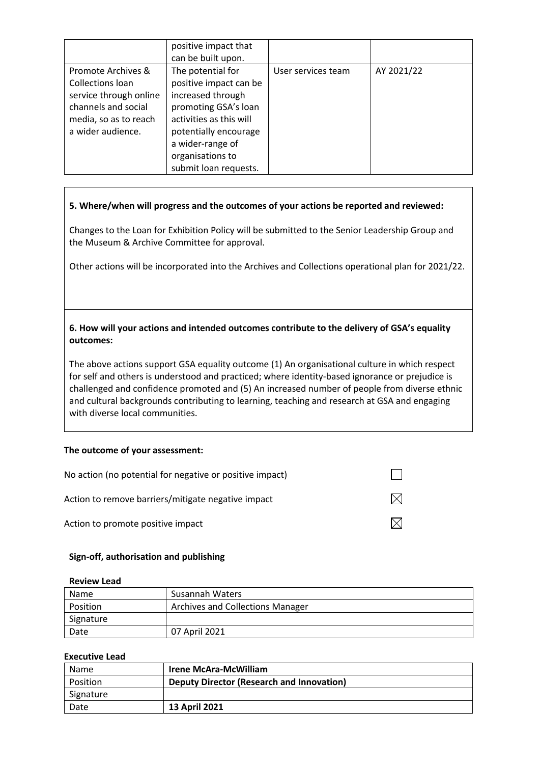|                                                                                                                                       | positive impact that<br>can be built upon.                                                                                                                                                                    |                    |            |
|---------------------------------------------------------------------------------------------------------------------------------------|---------------------------------------------------------------------------------------------------------------------------------------------------------------------------------------------------------------|--------------------|------------|
| Promote Archives &<br>Collections loan<br>service through online<br>channels and social<br>media, so as to reach<br>a wider audience. | The potential for<br>positive impact can be<br>increased through<br>promoting GSA's loan<br>activities as this will<br>potentially encourage<br>a wider-range of<br>organisations to<br>submit loan requests. | User services team | AY 2021/22 |

# **5. Where/when will progress and the outcomes of your actions be reported and reviewed:**

Changes to the Loan for Exhibition Policy will be submitted to the Senior Leadership Group and the Museum & Archive Committee for approval.

Other actions will be incorporated into the Archives and Collections operational plan for 2021/22.

# **6. How will your actions and intended outcomes contribute to the delivery of GSA's equality outcomes:**

The above actions support GSA equality outcome (1) An organisational culture in which respect for self and others is understood and practiced; where identity-based ignorance or prejudice is challenged and confidence promoted and (5) An increased number of people from diverse ethnic and cultural backgrounds contributing to learning, teaching and research at GSA and engaging with diverse local communities.

### **The outcome of your assessment:**

| No action (no potential for negative or positive impact) |  |
|----------------------------------------------------------|--|
| Action to remove barriers/mitigate negative impact       |  |
| Action to promote positive impact                        |  |

### **Sign-off, authorisation and publishing**

### **Review Lead**

| <b>Name</b> | Susannah Waters                         |
|-------------|-----------------------------------------|
| Position    | <b>Archives and Collections Manager</b> |
| Signature   |                                         |
| Date        | 07 April 2021                           |

### **Executive Lead**

| Name      | <b>Irene McAra-McWilliam</b>                     |
|-----------|--------------------------------------------------|
| Position  | <b>Deputy Director (Research and Innovation)</b> |
| Signature |                                                  |
| Date      | <b>13 April 2021</b>                             |